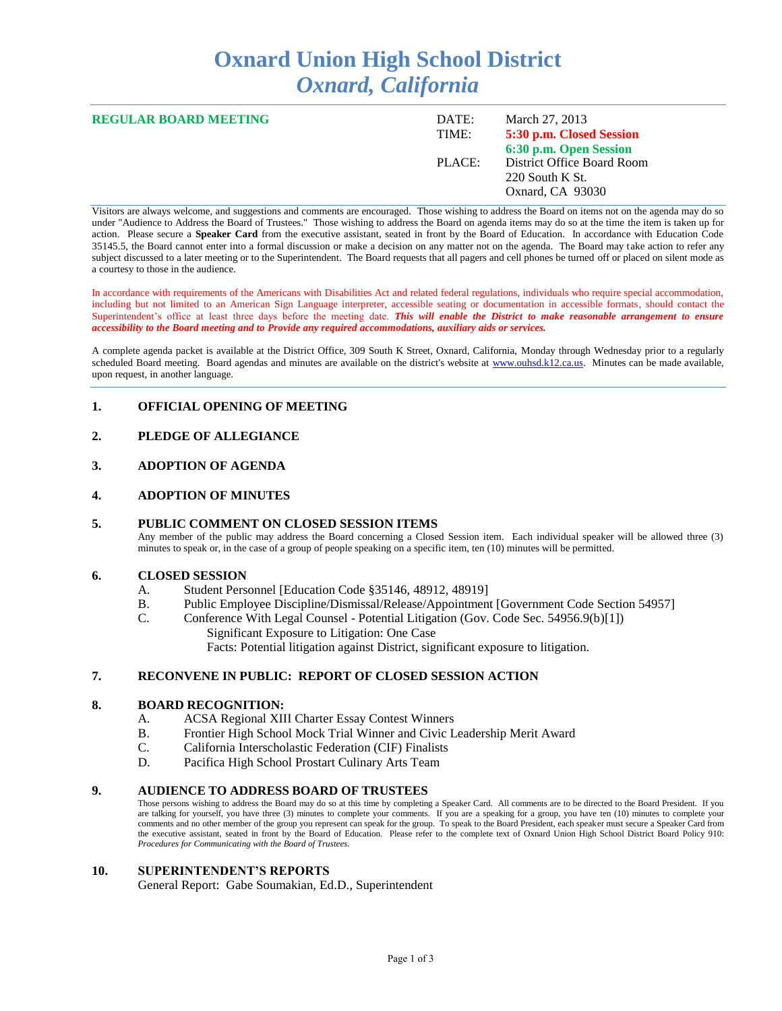# **Oxnard Union High School District** *Oxnard, California*

| <b>REGULAR BOARD MEETING</b> | DATE:<br>TIME: | March 27, 2013<br>5:30 p.m. Closed Session                                                    |
|------------------------------|----------------|-----------------------------------------------------------------------------------------------|
|                              | PLACE:         | 6:30 p.m. Open Session<br>District Office Board Room<br>$220$ South K St.<br>Oxnard, CA 93030 |

Visitors are always welcome, and suggestions and comments are encouraged. Those wishing to address the Board on items not on the agenda may do so under "Audience to Address the Board of Trustees." Those wishing to address the Board on agenda items may do so at the time the item is taken up for action. Please secure a **Speaker Card** from the executive assistant, seated in front by the Board of Education. In accordance with Education Code 35145.5, the Board cannot enter into a formal discussion or make a decision on any matter not on the agenda. The Board may take action to refer any subject discussed to a later meeting or to the Superintendent. The Board requests that all pagers and cell phones be turned off or placed on silent mode as a courtesy to those in the audience.

In accordance with requirements of the Americans with Disabilities Act and related federal regulations, individuals who require special accommodation, including but not limited to an American Sign Language interpreter, accessible seating or documentation in accessible formats, should contact the Superintendent's office at least three days before the meeting date. *This will enable the District to make reasonable arrangement to ensure accessibility to the Board meeting and to Provide any required accommodations, auxiliary aids or services.* 

A complete agenda packet is available at the District Office, 309 South K Street, Oxnard, California, Monday through Wednesday prior to a regularly scheduled Board meeting. Board agendas and minutes are available on the district's website at [www.ouhsd.k12.ca.us.](http://www.ouhsd.k12.ca.us/)Minutes can be made available, upon request, in another language.

## **1. OFFICIAL OPENING OF MEETING**

## **2. PLEDGE OF ALLEGIANCE**

## **3. ADOPTION OF AGENDA**

#### **4. ADOPTION OF MINUTES**

#### **5. PUBLIC COMMENT ON CLOSED SESSION ITEMS**

Any member of the public may address the Board concerning a Closed Session item. Each individual speaker will be allowed three (3) minutes to speak or, in the case of a group of people speaking on a specific item, ten (10) minutes will be permitted.

#### **6. CLOSED SESSION**

- A. Student Personnel [Education Code §35146, 48912, 48919]<br>B. Public Employee Discipline/Dismissal/Release/Appointmen
- B. Public Employee Discipline/Dismissal/Release/Appointment [Government Code Section 54957]<br>C. Conference With Legal Counsel Potential Litigation (Gov. Code Sec. 54956 9(b)[1])
- Conference With Legal Counsel Potential Litigation (Gov. Code Sec. 54956.9(b)[1]) Significant Exposure to Litigation: One Case

Facts: Potential litigation against District, significant exposure to litigation.

#### **7. RECONVENE IN PUBLIC: REPORT OF CLOSED SESSION ACTION**

#### **8. BOARD RECOGNITION:**

- A. ACSA Regional XIII Charter Essay Contest Winners
- B. Frontier High School Mock Trial Winner and Civic Leadership Merit Award
- C. California Interscholastic Federation (CIF) Finalists
- D. Pacifica High School Prostart Culinary Arts Team

#### **9. AUDIENCE TO ADDRESS BOARD OF TRUSTEES**

Those persons wishing to address the Board may do so at this time by completing a Speaker Card. All comments are to be directed to the Board President. If you are talking for yourself, you have three (3) minutes to complete your comments. If you are a speaking for a group, you have ten (10) minutes to complete your comments and no other member of the group you represent can speak for the group. To speak to the Board President, each speaker must secure a Speaker Card from the executive assistant, seated in front by the Board of Education. Please refer to the complete text of Oxnard Union High School District Board Policy 910: *Procedures for Communicating with the Board of Trustees.*

#### **10. SUPERINTENDENT'S REPORTS**

General Report: Gabe Soumakian, Ed.D., Superintendent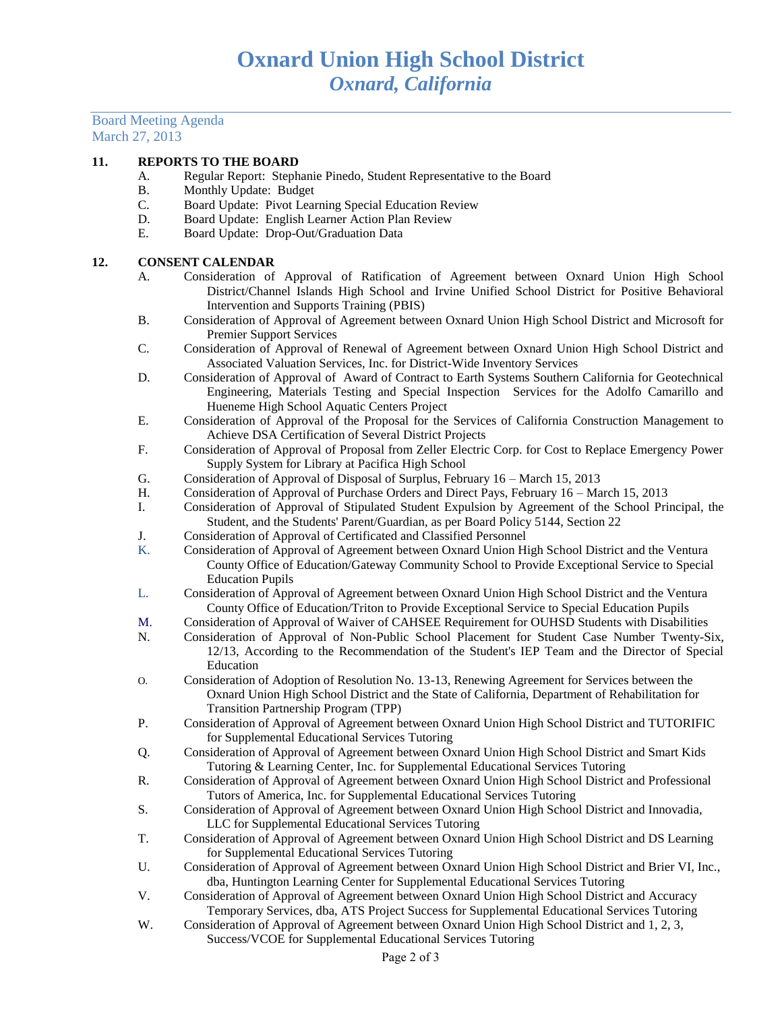Board Meeting Agenda March 27, 2013

# **11. REPORTS TO THE BOARD**

- A. Regular Report: Stephanie Pinedo, Student Representative to the Board
- B. Monthly Update: Budget
- C. Board Update: Pivot Learning Special Education Review
- Board Update: English Learner Action Plan Review
- E. Board Update: Drop-Out/Graduation Data

## **12. CONSENT CALENDAR**

- A. Consideration of Approval of Ratification of Agreement between Oxnard Union High School District/Channel Islands High School and Irvine Unified School District for Positive Behavioral Intervention and Supports Training (PBIS)
- B. Consideration of Approval of Agreement between Oxnard Union High School District and Microsoft for Premier Support Services
- C. Consideration of Approval of Renewal of Agreement between Oxnard Union High School District and Associated Valuation Services, Inc. for District-Wide Inventory Services
- D. Consideration of Approval of Award of Contract to Earth Systems Southern California for Geotechnical Engineering, Materials Testing and Special Inspection Services for the Adolfo Camarillo and Hueneme High School Aquatic Centers Project
- E. Consideration of Approval of the Proposal for the Services of California Construction Management to Achieve DSA Certification of Several District Projects
- F. Consideration of Approval of Proposal from Zeller Electric Corp. for Cost to Replace Emergency Power Supply System for Library at Pacifica High School
- G. Consideration of Approval of Disposal of Surplus, February 16 March 15, 2013
- H. Consideration of Approval of Purchase Orders and Direct Pays, February 16 March 15, 2013
- I. Consideration of Approval of Stipulated Student Expulsion by Agreement of the School Principal, the Student, and the Students' Parent/Guardian, as per Board Policy 5144, Section 22
- J. Consideration of Approval of Certificated and Classified Personnel
- K. Consideration of Approval of Agreement between Oxnard Union High School District and the Ventura County Office of Education/Gateway Community School to Provide Exceptional Service to Special Education Pupils
- L. Consideration of Approval of Agreement between Oxnard Union High School District and the Ventura County Office of Education/Triton to Provide Exceptional Service to Special Education Pupils
- M. Consideration of Approval of Waiver of CAHSEE Requirement for OUHSD Students with Disabilities
- N. Consideration of Approval of Non-Public School Placement for Student Case Number Twenty-Six, 12/13, According to the Recommendation of the Student's IEP Team and the Director of Special Education
- O. Consideration of Adoption of Resolution No. 13-13, Renewing Agreement for Services between the Oxnard Union High School District and the State of California, Department of Rehabilitation for Transition Partnership Program (TPP)
- P. Consideration of Approval of Agreement between Oxnard Union High School District and TUTORIFIC for Supplemental Educational Services Tutoring
- Q. Consideration of Approval of Agreement between Oxnard Union High School District and Smart Kids Tutoring & Learning Center, Inc. for Supplemental Educational Services Tutoring
- R. Consideration of Approval of Agreement between Oxnard Union High School District and Professional Tutors of America, Inc. for Supplemental Educational Services Tutoring
- S. Consideration of Approval of Agreement between Oxnard Union High School District and Innovadia, LLC for Supplemental Educational Services Tutoring
- T. Consideration of Approval of Agreement between Oxnard Union High School District and DS Learning for Supplemental Educational Services Tutoring
- U. Consideration of Approval of Agreement between Oxnard Union High School District and Brier VI, Inc., dba, Huntington Learning Center for Supplemental Educational Services Tutoring
- V. Consideration of Approval of Agreement between Oxnard Union High School District and Accuracy Temporary Services, dba, ATS Project Success for Supplemental Educational Services Tutoring
- W. Consideration of Approval of Agreement between Oxnard Union High School District and 1, 2, 3, Success/VCOE for Supplemental Educational Services Tutoring